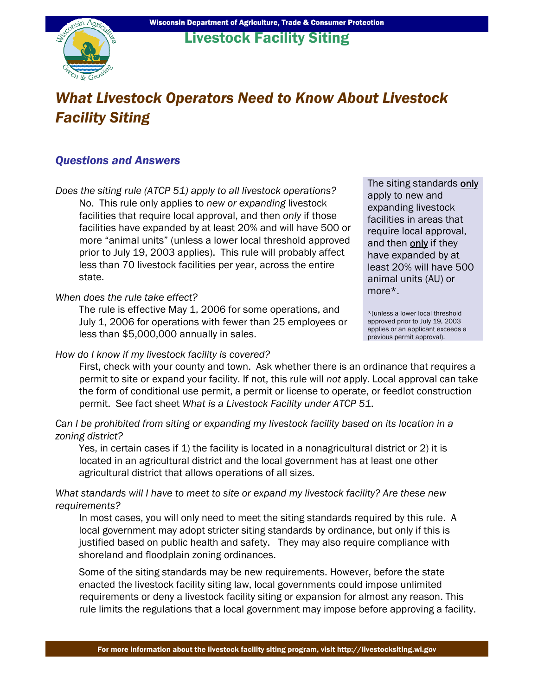

# *What Livestock Operators Need to Know About Livestock Facility Siting*

## *Questions and Answers*

*Does the siting rule (ATCP 51) apply to all livestock operations?*  No. This rule only applies to *new or expanding* livestock facilities that require local approval, and then *only* if those facilities have expanded by at least 20% and will have 500 or more "animal units" (unless a lower local threshold approved prior to July 19, 2003 applies). This rule will probably affect less than 70 livestock facilities per year, across the entire state.

#### *When does the rule take effect?*

The rule is effective May 1, 2006 for some operations, and July 1, 2006 for operations with fewer than 25 employees or less than \$5,000,000 annually in sales.

#### *How do I know if my livestock facility is covered?*

The siting standards only apply to new and expanding livestock facilities in areas that require local approval, and then only if they have expanded by at least 20% will have 500 animal units (AU) or more\*.

\*(unless a lower local threshold approved prior to July 19, 2003 applies or an applicant exceeds a previous permit approval).

First, check with your county and town. Ask whether there is an ordinance that requires a permit to site or expand your facility. If not, this rule will *not* apply. Local approval can take the form of conditional use permit, a permit or license to operate, or feedlot construction permit. See fact sheet *What is a Livestock Facility under ATCP 51*.

*Can I be prohibited from siting or expanding my livestock facility based on its location in a zoning district?* 

Yes, in certain cases if 1) the facility is located in a nonagricultural district or 2) it is located in an agricultural district and the local government has at least one other agricultural district that allows operations of all sizes.

#### *What standards will I have to meet to site or expand my livestock facility? Are these new requirements?*

In most cases, you will only need to meet the siting standards required by this rule. A local government may adopt stricter siting standards by ordinance, but only if this is justified based on public health and safety. They may also require compliance with shoreland and floodplain zoning ordinances.

Some of the siting standards may be new requirements. However, before the state enacted the livestock facility siting law, local governments could impose unlimited requirements or deny a livestock facility siting or expansion for almost any reason. This rule limits the regulations that a local government may impose before approving a facility.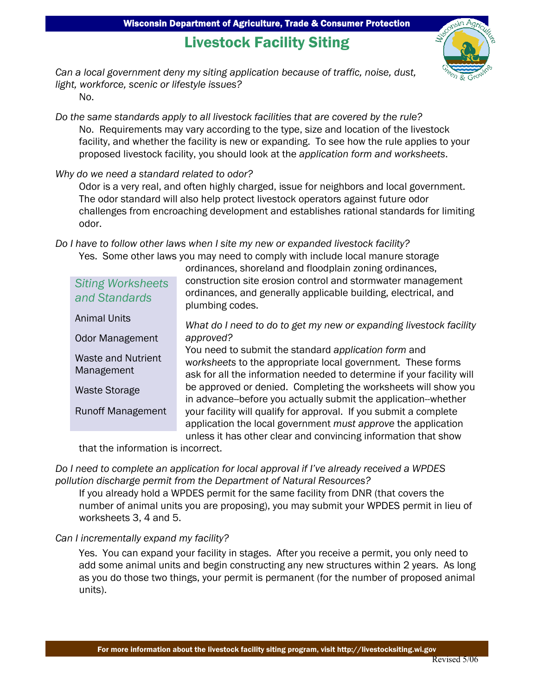# Livestock Facility Siting



*Can a local government deny my siting application because of traffic, noise, dust, light, workforce, scenic or lifestyle issues?* 

No.

*Do the same standards apply to all livestock facilities that are covered by the rule?*  No. Requirements may vary according to the type, size and location of the livestock facility, and whether the facility is new or expanding. To see how the rule applies to your proposed livestock facility, you should look at the *application form and worksheets*.

*Why do we need a standard related to odor?* 

Odor is a very real, and often highly charged, issue for neighbors and local government. The odor standard will also help protect livestock operators against future odor challenges from encroaching development and establishes rational standards for limiting odor.

*Do I have to follow other laws when I site my new or expanded livestock facility?*  Yes. Some other laws you may need to comply with include local manure storage

*Siting Worksheets and Standards* 

ordinances, shoreland and floodplain zoning ordinances, construction site erosion control and stormwater management ordinances, and generally applicable building, electrical, and plumbing codes.

*What do I need to do to get my new or expanding livestock facility approved?*  You need to submit the standard *application form* and w*orksheets* to the appropriate local government*.* These forms ask for all the information needed to determine if your facility will be approved or denied. Completing the worksheets will show you in advance--before you actually submit the application--whether your facility will qualify for approval. If you submit a complete application the local government *must approve* the application unless it has other clear and convincing information that show Animal Units Odor Management Waste and Nutrient Management Waste Storage Runoff Management

that the information is incorrect.

*Do I need to complete an application for local approval if I've already received a WPDES pollution discharge permit from the Department of Natural Resources?* 

If you already hold a WPDES permit for the same facility from DNR (that covers the number of animal units you are proposing), you may submit your WPDES permit in lieu of worksheets 3, 4 and 5.

### *Can I incrementally expand my facility?*

 Yes. You can expand your facility in stages. After you receive a permit, you only need to add some animal units and begin constructing any new structures within 2 years. As long as you do those two things, your permit is permanent (for the number of proposed animal units).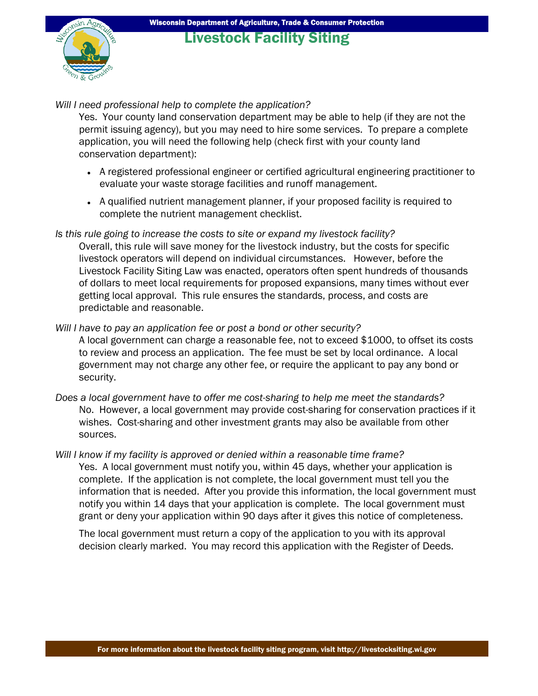## Livestock Facility Siting

#### *Will I need professional help to complete the application?*

Yes. Your county land conservation department may be able to help (if they are not the permit issuing agency), but you may need to hire some services. To prepare a complete application, you will need the following help (check first with your county land conservation department):

- A registered professional engineer or certified agricultural engineering practitioner to evaluate your waste storage facilities and runoff management.
- A qualified nutrient management planner, if your proposed facility is required to complete the nutrient management checklist.
- *Is this rule going to increase the costs to site or expand my livestock facility?*  Overall, this rule will save money for the livestock industry, but the costs for specific livestock operators will depend on individual circumstances. However, before the Livestock Facility Siting Law was enacted, operators often spent hundreds of thousands of dollars to meet local requirements for proposed expansions, many times without ever getting local approval. This rule ensures the standards, process, and costs are predictable and reasonable.
- *Will I have to pay an application fee or post a bond or other security?*  A local government can charge a reasonable fee, not to exceed \$1000, to offset its costs to review and process an application. The fee must be set by local ordinance. A local government may not charge any other fee, or require the applicant to pay any bond or security.
- *Does a local government have to offer me cost-sharing to help me meet the standards?*  No. However, a local government may provide cost-sharing for conservation practices if it wishes. Cost-sharing and other investment grants may also be available from other sources.
- *Will I know if my facility is approved or denied within a reasonable time frame?*  Yes. A local government must notify you, within 45 days, whether your application is complete. If the application is not complete, the local government must tell you the information that is needed. After you provide this information, the local government must notify you within 14 days that your application is complete. The local government must grant or deny your application within 90 days after it gives this notice of completeness.

The local government must return a copy of the application to you with its approval decision clearly marked. You may record this application with the Register of Deeds.